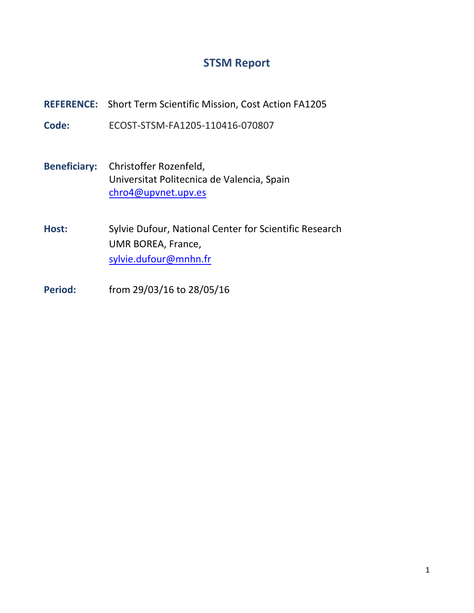## **STSM Report**

**REFERENCE:** Short Term Scientific Mission, Cost Action FA1205

**Code:** ECOST-STSM-FA1205-110416-070807

- **Beneficiary:** Christoffer Rozenfeld, Universitat Politecnica de Valencia, Spain chro4@upvnet.upv.es
- **Host:** Sylvie Dufour, National Center for Scientific Research UMR BOREA, France, [sylvie.dufour@mnhn.fr](mailto:sylvie.dufour@mnhn.fr)
- **Period:** from 29/03/16 to 28/05/16